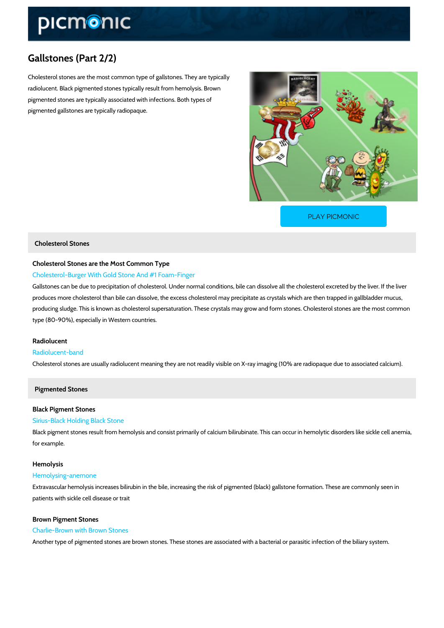# Gallstones (Part 2/2)

Cholesterol stones are the most common type of gallstones. They are typically radiolucent. Black pigmented stones typically result from hemolysis. Brown pigmented stones are typically associated with infections. Both types of pigmented gallstones are typically radiopaque.

[PLAY PICMONIC](https://www.picmonic.com/learn/gallstones-part-2-types-of-stones_50091?utm_source=downloadable_content&utm_medium=distributedcontent&utm_campaign=pathways_pdf&utm_content=Gallstones (Part 2/2)&utm_ad_group=leads&utm_market=all)

#### Cholesterol Stones

## Cholesterol Stones are the Most Common Type Cholesterol-Burger With Gold Stone And #1 Foam-Finger

Gallstones can be due to precipitation of cholesterol. Under normal conditions, bile can disso produces more cholesterol than bile can dissolve, the excess cholesterol may precipitate as c producing sludge. This is known as cholesterol supersaturation. These crystals may grow and type (80-90%), especially in Western countries.

## Radiolucent Radiolucent-band

Cholesterol stones are usually radiolucent meaning they are not readily visible on X-ray imag

Pigmented Stones

## Black Pigment Stones

## Sirius-Black Holding Black Stone

Black pigment stones result from hemolysis and consist primarily of calcium bilirubinate. This for example.

#### Hemolysis

#### Hemolysing-anemone

Extravascular hemolysis increases bilirubin in the bile, increasing the risk of pigmented (blac patients with sickle cell disease or trait

#### Brown Pigment Stones

#### Charlie-Brown with Brown Stones

Another type of pigmented stones are brown stones. These stones are associated with a bacte